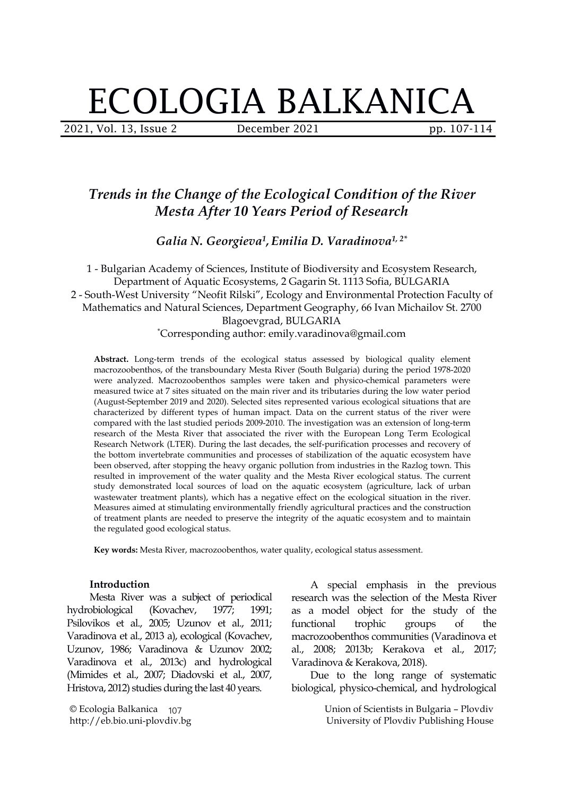# ECOLOGIA BALKANICA

2021, Vol. 13, Issue 2 **December 2021** pp. 107-114

# *Trends in the Change of the Ecological Condition of the River Mesta After 10 Years Period of Research*

*Galia N. Georgieva 1 , Emilia D. Varadinova 1, 2\**

1 - Bulgarian Academy of Sciences, Institute of Biodiversity and Ecosystem Research, Department of Aquatic Ecosystems, 2 Gagarin St. 1113 Sofia, BULGARIA 2 - South-West University "Neofit Rilski", Ecology and Environmental Protection Faculty of Mathematics and Natural Sciences, Department Geography, 66 Ivan Michailov St. 2700 Blagoevgrad, BULGARIA \*Corresponding author: emily.varadinova@gmail.com

**Abstract.** Long-term trends of the ecological status assessed by biological quality element macrozoobenthos, of the transboundary Mesta River (South Bulgaria) during the period 1978-2020 were analyzed. Macrozoobenthos samples were taken and physico-chemical parameters were measured twice at 7 sites situated on the main river and its tributaries during the low water period (August-September 2019 and 2020). Selected sites represented various ecological situations that are characterized by different types of human impact. Data on the current status of the river were compared with the last studied periods 2009-2010. The investigation was an extension of long-term research of the Mesta River that associated the river with the European Long Term Ecological Research Network (LTER). During the last decades, the self-purification processes and recovery of the bottom invertebrate communities and processes of stabilization of the aquatic ecosystem have been observed, after stopping the heavy organic pollution from industries in the Razlog town. This resulted in improvement of the water quality and the Mesta River ecological status. The current study demonstrated local sources of load on the aquatic ecosystem (agriculture, lack of urban wastewater treatment plants), which has a negative effect on the ecological situation in the river. Measures aimed at stimulating environmentally friendly agricultural practices and the construction of treatment plants are needed to preserve the integrity of the aquatic ecosystem and to maintain the regulated good ecological status.

**Key words:** Mesta River, macrozoobenthos, water quality, ecological status assessment.

### **Introduction**

Mesta River was a subject of periodical hydrobiological (Kovachev, 1977; 1991; Psilovikos et al., 2005; Uzunov et al., 2011; Varadinova et al., 2013 a), ecological (Kovachev, Uzunov, 1986; Varadinova & Uzunov 2002; Varadinova et al., 2013c) and hydrological (Mimides et al., 2007; Diadovski et al., 2007, Hristova, 2012) studies during the last 40 years.

© Ecologia Balkanica 107 http://eb.bio.uni-plovdiv.bg

A special emphasis in the previous research was the selection of the Mesta River as a model object for the study of the functional trophic groups of the macrozoobenthos communities (Varadinova et al., 2008; 2013b; Kerakova et al., 2017; Varadinova & Kerakova, 2018).

Due to the long range of systematic biological, physico-chemical, and hydrological

> Union of Scientists in Bulgaria – Plovdiv University of Plovdiv Publishing House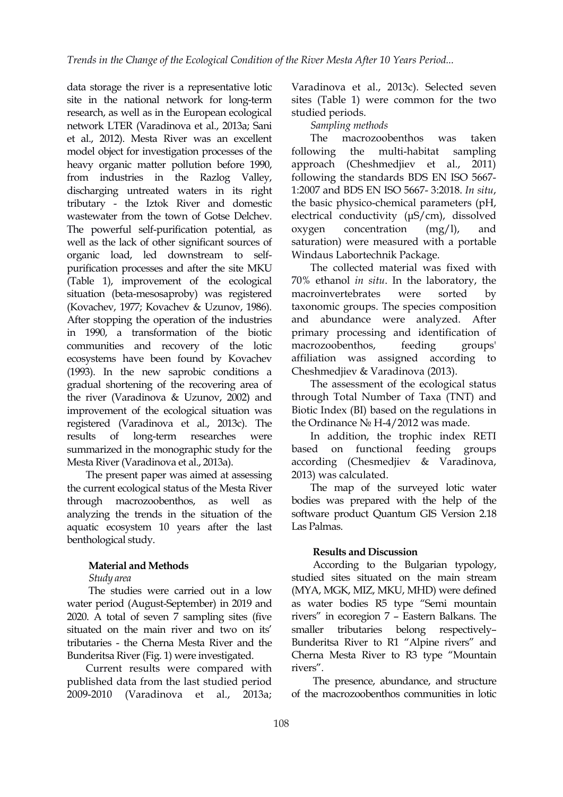data storage the river is a representative lotic site in the national network for long-term research, as well as in the European ecological network LTER (Varadinova et al., 2013a; Sani et al., 2012). Mesta River was an excellent model object for investigation processes of the following the heavy organic matter pollution before 1990, from industries in the Razlog Valley, discharging untreated waters in its right tributary - the Iztok River and domestic wastewater from the town of Gotse Delchev. The powerful self-purification potential, as oxygen well as the lack of other significant sources of organic load, led downstream to self purification processes and after the site MKU (Table 1), improvement of the ecological situation (beta-mesosaproby) was registered (Kovachev, 1977; Kovachev & Uzunov, 1986). After stopping the operation of the industries in 1990, a transformation of the biotic communities and recovery of the lotic ecosystems have been found by Kovachev (1993). In the new saprobic conditions a gradual shortening of the recovering area of the river (Varadinova & Uzunov, 2002) and improvement of the ecological situation was registered (Varadinova et al., 2013c). The results of long-term researches were summarized in the monographic study for the based on functional Mesta River(Varadinova et al., 2013a).

The present paper was aimed at assessing the current ecological status of the Mesta River through macrozoobenthos, as well as analyzing the trends in the situation of the aquatic ecosystem 10 years after the last benthological study.

# **Material and Methods**

*Study area*

The studies were carried out in а low water period (August-September) in 2019 and 2020. A total of seven 7 sampling sites (five situated on the main river and two on its' smaller tributaries - the Cherna Mesta River and the Bunderitsa River(Fig. 1) were investigated.

Current results were compared with published data from the last studied period 2009-2010 (Varadinova et al., 2013a;

Varadinova et al., 2013c). Selected seven sites (Table 1) were common for the two studied periods.

# *Sampling methods*

The macrozoobenthos was taken multi-habitat sampling approach (Cheshmedjiev et al., 2011) following the standards BDS EN ISO 5667- 1:2007 and BDS EN ISO 5667- 3:2018. *In situ*, the basic physico-chemical parameters (pH, electrical conductivity (μS/cm), dissolved concentration  $(mg/l)$ , and saturation) were measured with a portable Windaus Labortechnik Package.

The collected material was fixed with 70% ethanol *in situ*. In the laboratory, the macroinvertebrates were sorted by taxonomic groups. The species composition and abundance were analyzed. After primary processing and identification of macrozoobenthos, feeding groups' affiliation was assigned according to Cheshmedjiev & Varadinova (2013).

The assessment of the ecological status through Total Number of Taxa (TNT) and Biotic Index (BI) based on the regulations in the Ordinance № H-4/2012 was made.

In addition, the trophic index RETI feeding groups according (Chesmedjiev & Varadinova, 2013) was calculated.

The map of the surveyed lotic water bodies was prepared with the help of the software product Quantum GIS Version 2.18 Las Palmas.

# **Results and Discussion**

According to the Bulgarian typology, studied sites situated on the main stream (MYA, MGK, MIZ, MKU, MHD) were defined as water bodies R5 type "Semi mountain rivers" in ecoregion 7 – Eastern Balkans. The tributaries belong respectively– Bunderitsa River to R1 "Alpine rivers" and Cherna Mesta River to R3 type "Mountain rivers".

The presence, abundance, and structure of the macrozoobenthos communities in lotic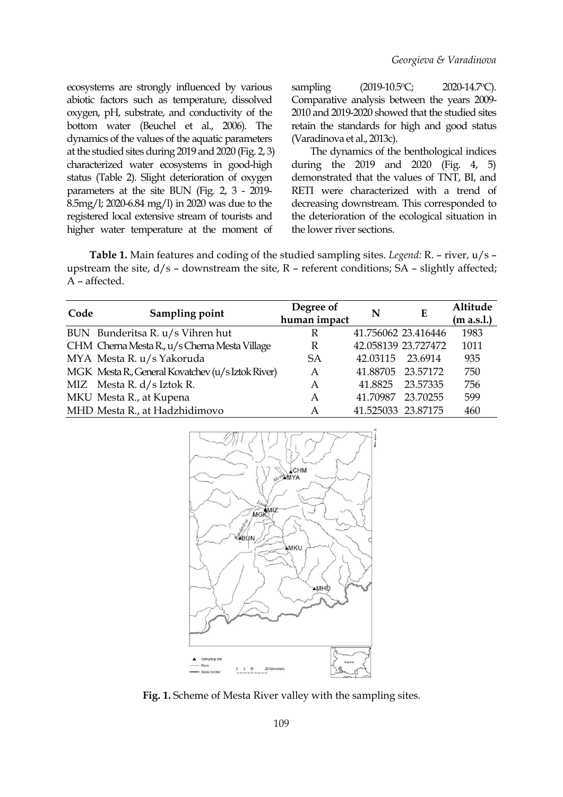ecosystems are strongly influenced by various abiotic factors such as temperature, dissolved oxygen, pH, substrate, and conductivity of the bottom water (Beuchel et al., 2006). Тhe dynamics of the values of the aquatic parameters at the studied sites during 2019 and 2020 (Fig. 2, 3) characterized water ecosystems in good-high status (Table 2). Slight deterioration of oxygen parameters at the site BUN (Fig. 2, 3 - 2019- 8.5mg/l; 2020-6.84 mg/l) in 2020 was due to the registered local extensive stream of tourists and higher water temperature at the moment of

sampling (2019-10.5°C; 2020-14.7°C). Comparative analysis between the years 2009- 2010 and 2019-2020 showed that the studied sites retain the standards for high and good status (Varadinova et al., 2013c).

The dynamics of the benthological indices during the 2019 and 2020 (Fig. 4, 5) demonstrated that the values of TNT, BI, and RETI were characterized with a trend of decreasing downstream.This corresponded to the deterioration of the ecological situation in the lower river sections.

**Table 1.** Main features and coding of the studied sampling sites.*Legend:*R. – river, u/s – upstream the site,  $d/s$  – downstream the site,  $R$  – referent conditions;  $SA$  – slightly affected; A – affected.

| Code | Sampling point                                    | Degree of<br>human impact | N                   | E        | Altitude<br>(m a.s.1.) |
|------|---------------------------------------------------|---------------------------|---------------------|----------|------------------------|
|      | BUN Bunderitsa R. u/s Vihren hut                  | R                         | 41.756062 23.416446 |          | 1983                   |
|      | CHM Cherna Mesta R., u/s Cherna Mesta Village     | R                         | 42.058139 23.727472 |          | 1011                   |
|      | MYA Mesta R. u/s Yakoruda                         | SA                        | 42.03115            | 23.6914  | 935                    |
|      | MGK Mesta R., General Kovatchev (u/s Iztok River) | A                         | 41.88705            | 23.57172 | 750                    |
|      | MIZ Mesta R. d/s Iztok R.                         | Α                         | 41.8825             | 23.57335 | 756                    |
|      | MKU Mesta R., at Kupena                           | А                         | 41.70987            | 23.70255 | 599                    |
|      | MHD Mesta R., at Hadzhidimovo                     | Α                         | 41.525033 23.87175  |          | 460                    |



**Fig. 1.** Scheme of Mesta River valley with the sampling sites.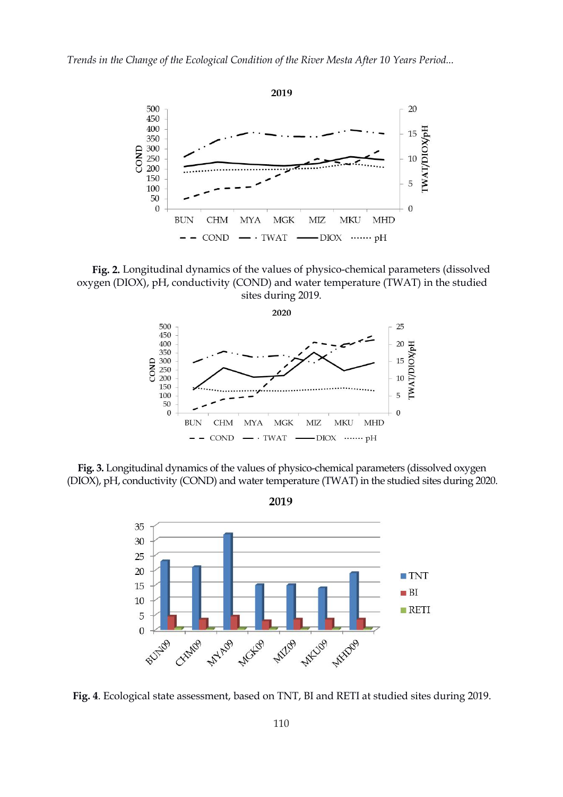

**Fig. 2.** Longitudinal dynamics of the values of physico-chemical parameters (dissolved oxygen (DIOX), pH, conductivity (COND) and water temperature (TWAT) in the studied sites during 2019.



**Fig. 3.** Longitudinal dynamics of the values of physico-chemical parameters (dissolved oxygen (DIOX), pH, conductivity (COND) and water temperature (TWAT) in the studied sites during 2020.



**Fig. 4**. Ecological state assessment, based on TNT, BI and RETI at studied sites during 2019.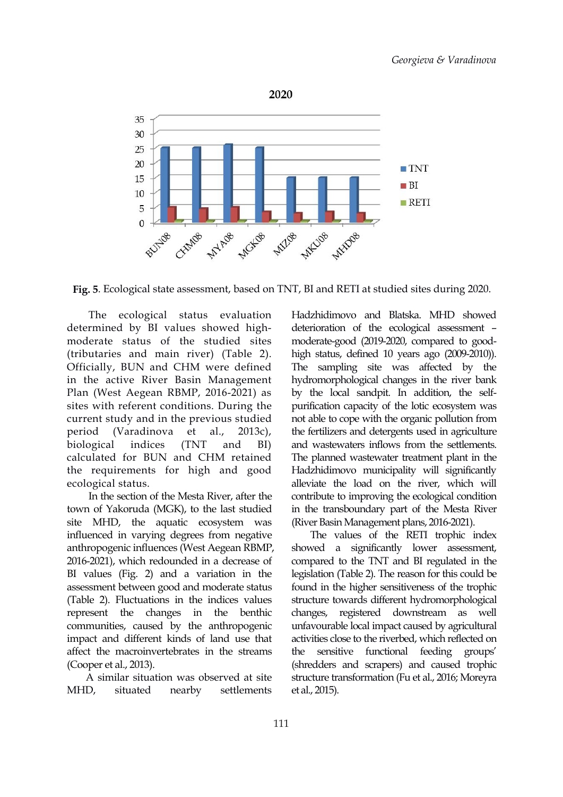

**Fig. 5**. Ecological state assessment, based on TNT, BI and RETI at studied sites during 2020.

The ecological status evaluation determined by BI values showed high moderate status of the studied sites (tributaries and main river) (Table 2). Officially, BUN and CHM were defined in the active River Basin Management Plan (West Aegean RBMP, 2016-2021) as sites with referent conditions. During the current study and in the previous studied period (Varadinova et al., 2013c), calculated for BUN and CHM retained the requirements for high and good ecological status.

In the section of the Mesta River, after the town of Yakoruda (MGK), to the last studied site MHD, the aquatic ecosystem was influenced in varying degrees from negative anthropogenic influences (West Aegean RBMP, 2016-2021), which redounded in a decrease of BI values (Fig. 2) and a variation in the assessment between good and moderate status (Table 2). Fluctuations in the indices values represent the changes in the benthic communities, caused by the anthropogenic impact and different kinds of land use that affect the macroinvertebrates in the streams (Cooper et al., 2013).

A similar situation was observed at site MHD, situated nearby settlements et al., 2015).

biological indices (TNT and BI) and wastewaters inflows from the settlements. Hadzhidimovo and Blatska. MHD showed deterioration of the ecological assessment – moderate-good (2019-2020, compared to goodhigh status, defined 10 years ago (2009-2010)). The sampling site was affected by the hydromorphological changes in the river bank by the local sandpit. In addition, the self purification capacity of the lotic ecosystem was not able to cope with the organic pollution from the fertilizers and detergents used in agriculture The planned wastewater treatment plant in the Hadzhidimovo municipality will significantly alleviate the load on the river, which will contribute to improving the ecological condition in the transboundary part of the Mesta River (River Basin Management plans, 2016-2021).

> The values of the RETI trophic index showed a significantly lower assessment, compared to the TNT and BI regulated in the legislation (Table 2). The reason for this could be found in the higher sensitiveness of the trophic structure towards different hydromorphological changes, registered downstream as well unfavourable local impact caused by agricultural activities close to the riverbed, which reflected on the sensitive functional feeding groups' (shredders and scrapers) and caused trophic structure transformation (Fu et al., 2016; Moreyra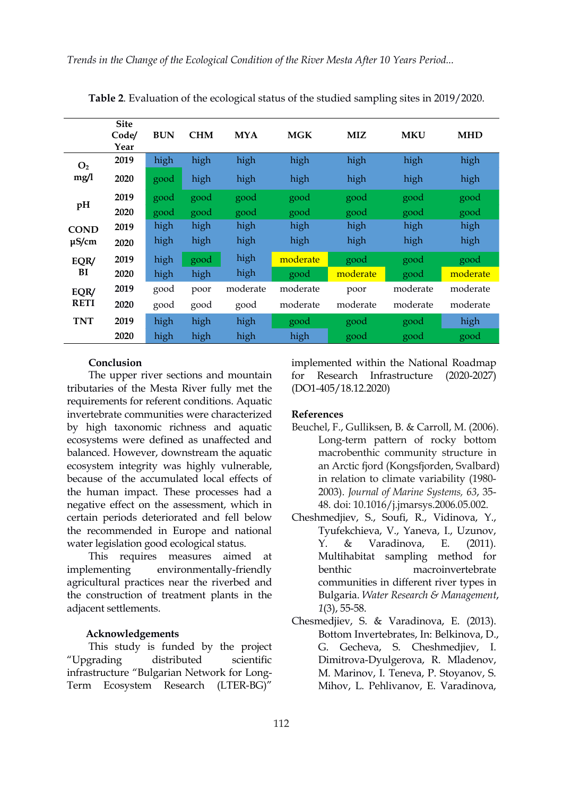|                        | <b>Site</b><br>Code/<br>Year | <b>BUN</b> | <b>CHM</b> | <b>MYA</b> | <b>MGK</b> | <b>MIZ</b> | <b>MKU</b> | <b>MHD</b> |
|------------------------|------------------------------|------------|------------|------------|------------|------------|------------|------------|
| O <sub>2</sub><br>mg/l | 2019                         | high       | high       | high       | high       | high       | high       | high       |
|                        | 2020                         | good       | high       | high       | high       | high       | high       | high       |
| pH                     | 2019                         | good       | good       | good       | good       | good       | good       | good       |
|                        | 2020                         | good       | good       | good       | good       | good       | good       | good       |
| <b>COND</b>            | 2019                         | high       | high       | high       | high       | high       | high       | high       |
| $\mu$ S/cm             | 2020                         | high       | high       | high       | high       | high       | high       | high       |
| EQR/<br>BI             | 2019                         | high       | good       | high       | moderate   | good       | good       | good       |
|                        | 2020                         | high       | high       | high       | good       | moderate   | good       | moderate   |
| EQR/<br><b>RETI</b>    | 2019                         | good       | poor       | moderate   | moderate   | poor       | moderate   | moderate   |
|                        | 2020                         | good       | good       | good       | moderate   | moderate   | moderate   | moderate   |
| <b>TNT</b>             | 2019                         | high       | high       | high       | good       | good       | good       | high       |
|                        | 2020                         | high       | high       | high       | high       | good       | good       | good       |

**Table 2**. Evaluation of the ecological status of the studied sampling sites in 2019/2020.

#### **Conclusion**

The upper river sections and mountain for tributaries of the Mesta River fully met the requirements for referent conditions. Aquatic invertebrate communities were characterized by high taxonomic richness and aquatic ecosystems were defined as unaffected and balanced. However, downstream the aquatic ecosystem integrity was highly vulnerable, because of the accumulated local effects of the human impact. These processes had a negative effect on the assessment, which in certain periods deteriorated and fell below the recommended in Europe and national water legislation good ecological status.

This requires measures aimed at implementing environmentally-friendly agricultural practices near the riverbed and the construction of treatment plants in the adjacent settlements.

#### **Acknowledgements**

This study is funded by the project "Upgrading distributed scientific infrastructure "Bulgarian Network for Long- Term Ecosystem Research (LTER-BG)"

implemented within the National Roadmap Research Infrastructure (2020-2027) (DО1-405/18.12.2020)

### **References**

- Beuchel, F., Gulliksen, B. & Carroll, M. (2006). Long-term pattern of rocky bottom macrobenthic community structure in an Arctic fjord (Kongsfjorden, Svalbard) in relation to climate variability (1980- 2003). *Journal of Marine Systems, 63*, 35- 48. doi: [10.1016/j.jmarsys.2006.05.002.](https://doi.org/10.1016/j.jmarsys.2006.05.002)
- Cheshmedjiev, S., Soufi, R., Vidinova, Y., Tyufekchieva, V., Yaneva, I., Uzunov, Y. & Varadinova, E. (2011). Multihabitat sampling method for macroinvertebrate communities in different river types in Bulgaria. *Water Research & Management*, *1*(3), 55-58.
- Chesmedjiev, S. & Varadinova, E. (2013). Bottom Invertebrates, In: Belkinova, D., G. Gecheva, S. Cheshmedjiev, I. Dimitrova-Dyulgerova, R. Mladenov, M. Marinov, I. Teneva, P. Stoyanov, S. Mihov, L. Pehlivanov, E. Varadinova,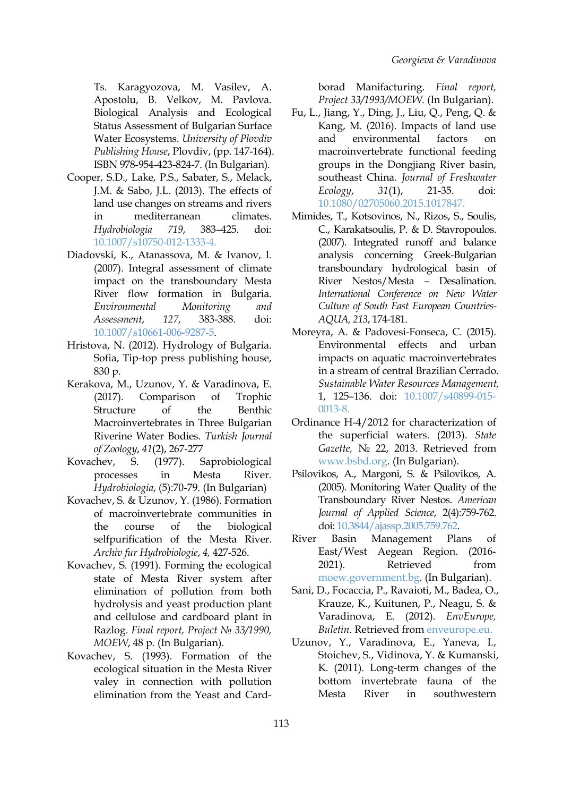Ts. Karagyozova, M. Vasilev, A. Apostolu, B. Velkov, M. Pavlova. Biological Analysis and Ecological Status Assessment of Bulgarian Surface Water Ecosystems. *University of Plovdiv Publishing House*, Plovdiv, (pp. 147-164).

- Cooper, S.D., Lake, P.S., Sabater, S., Melack, J.M. & Sabo, J.L. (2013). The effects of land use changes on streams and rivers in mediterranean climates. *Hydrobiologia 719*, 383–425. doi: [10.1007/s10750-012-1333-4](https://doi.org/10.1007/s10750-012-1333-4).
- Diadovski, K., Atanassova, M. & Ivanov, I. (2007). Integral assessment of climate impact on the transboundary Mesta River flow formation in Bulgaria. *Environmental Monitoring and Assessment*, *127*, 383-388. doi: [10.1007/s10661-006-9287-5](https://doi.org/10.1007/s10661-006-9287-5).
- Hristova, N. (2012). Hydrology of Bulgaria. Sofia, Tip-top press publishing house, 830 p.
- Кerakova, M., Uzunov, Y. & Varadinova, E. (2017). Comparison of Trophic Structure of the Benthic Macroinvertebrates in Three Bulgarian Riverine Water Bodies. *Turkish Journal of Zoology*, *41*(2), 267-277
- Kovachev, S. (1977). Saprobiological processes in Mesta River. *Hydrobiologia*, (5):70-79. (In Bulgarian)
- Kovachev, S. & Uzunov, Y. (1986). Formation of macroinvertebrate communities in the course of the biological selfpurification of the Mesta River. River Basin *Archiv fur Hydrobiologie*, *4,* 427-526.
- Kovachev, S. (1991). Forming the ecological 2021). state of Mesta River system after elimination of pollution from both hydrolysis and yeast production plant and cellulose and cardboard plant in Razlog. *Final report, Project № 33/1990, MOEW*, 48 p. (In Bulgarian).
- Kovachev, S. (1993). Formation of the ecological situation in the Mesta River valey in connection with pollution elimination from the Yeast and Card-

borad Manifacturing. *Final report, Project 33/1993/MOEW*. (In Bulgarian).

- ISBN 978-954-423-824-7. (In Bulgarian). Fu, L., Jiang, Y., Ding, J., Liu, Q., Peng, Q. & Kang, M. (2016). Impacts of land use environmental factors on macroinvertebrate functional feeding southeast China. *Journal of Freshwater Ecology*, *31*(1), 21-35. doi: [10.1080/02705060.2015.1017847](https://doi.org/10.1080/02705060.2015.1017847).
	- Mimides, T., Kotsovinos, N., Rizos, S., Soulis, C., Karakatsoulis, P. & D. Stavropoulos. (2007). Integrated runoff and balance analysis concerning Greek-Bulgarian transboundary hydrological basin of River Nestos/Mesta – Desalination. *International Conference on New Water Culture of South East European Countries- AQUA, 213*, 174-181.
	- Moreyra, A. & Padovesi-Fonseca, C. (2015). Environmental effects and urban impacts on aquatic macroinvertebrates in a stream of central Brazilian Cerrado. *Sustainable Water Resources Management,* 1, 125–136. doi: [10.1007/s40899-015-](https://doi.org/10.1007/s40899-015-0013-8) 0013-8.
	- Ordinance H-4/2012 for characterization of the superficial waters. (2013). *State Gazette,* № 22, 2013. Retrieved from [www.bsbd.org.](http://www.bsbd.org/) (In Bulgarian).
	- Psilovikos, A., Margoni, S. & Psilovikos, A. (2005). Monitoring Water Quality of the Transboundary River Nestos. *American Journal of Applied Science*, 2(4):759-762. doi: [10.3844/ajassp.2005.759.762.](https://doi.org/10.3844/ajassp.2005.759.762)
	- Management Plans of East/West Aegean Region. (2016- Retrieved from [moew.government.bg.](http://www.moew.government.bg/) (In Bulgarian).
	- Sani, D., Focaccia, P., Ravaioti, M., Badea, O., Krauze, K., Kuitunen, P., Neagu, S. & Varadinova, E. (2012). *EnvEurope, Buletin.* Retrieved from [enveurope.eu](http://www.enveurope.eu/dissemination-%20/dissemination-materials/1-Bulletin-final.pdf).
	- Uzunov, Y., Varadinova, E., Yaneva, I., Stoichev, S., Vidinova, Y. & Kumanski, K. (2011). Long-term changes of the bottom invertebrate fauna of the River in southwestern